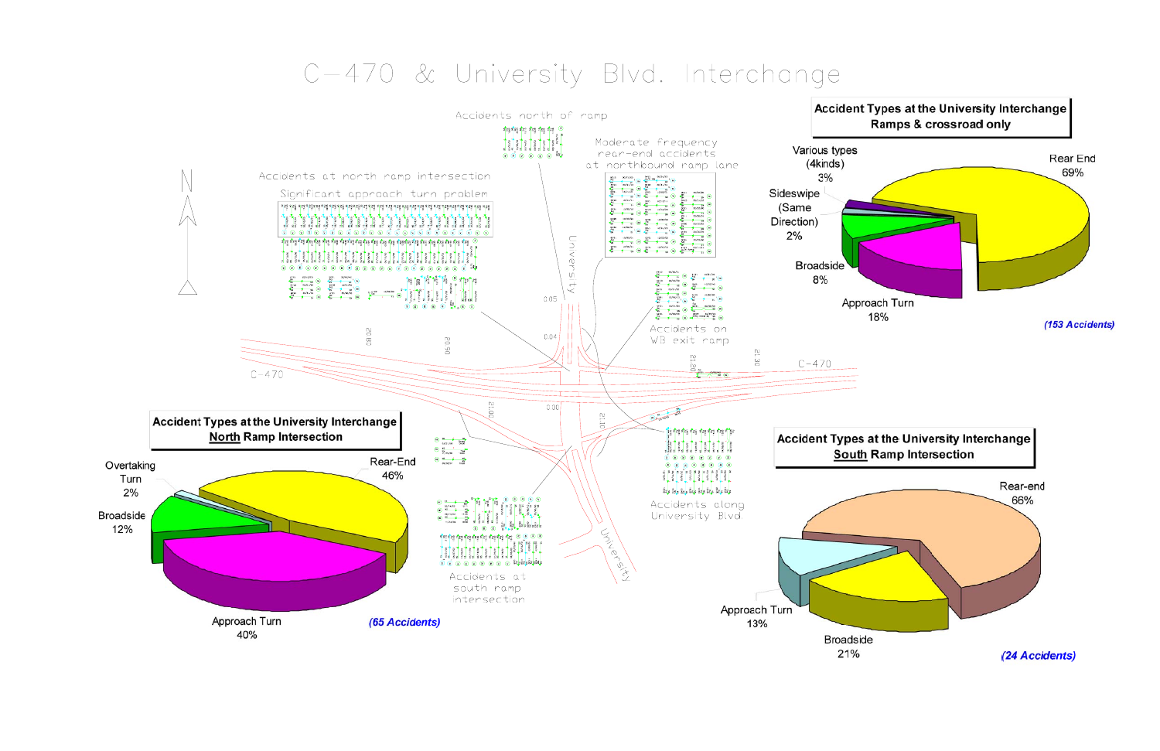## C-470 & University Blvd. Interchange

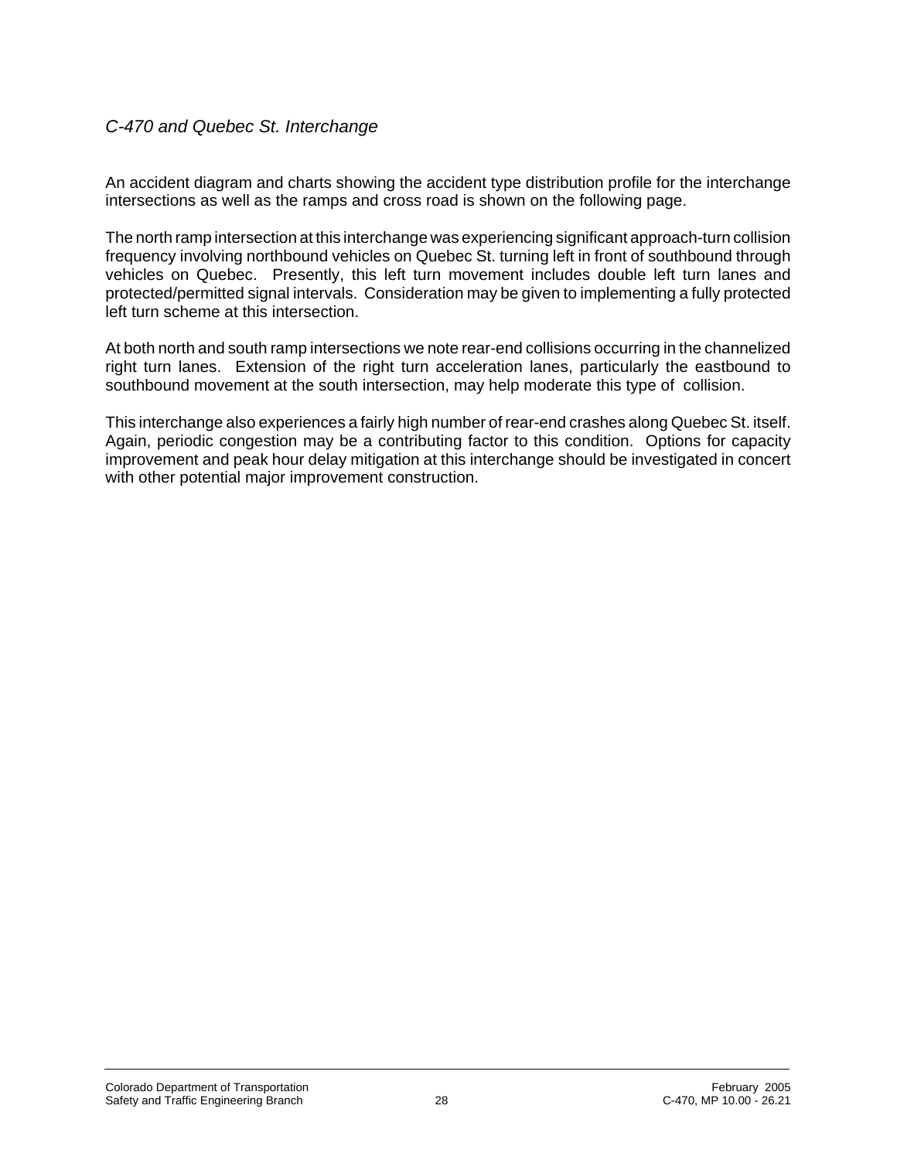## *C-470 and Quebec St. Interchange*

An accident diagram and charts showing the accident type distribution profile for the interchange intersections as well as the ramps and cross road is shown on the following page.

The north ramp intersection at this interchange was experiencing significant approach-turn collision frequency involving northbound vehicles on Quebec St. turning left in front of southbound through vehicles on Quebec. Presently, this left turn movement includes double left turn lanes and protected/permitted signal intervals. Consideration may be given to implementing a fully protected left turn scheme at this intersection.

At both north and south ramp intersections we note rear-end collisions occurring in the channelized right turn lanes. Extension of the right turn acceleration lanes, particularly the eastbound to southbound movement at the south intersection, may help moderate this type of collision.

This interchange also experiences a fairly high number of rear-end crashes along Quebec St. itself. Again, periodic congestion may be a contributing factor to this condition. Options for capacity improvement and peak hour delay mitigation at this interchange should be investigated in concert with other potential major improvement construction.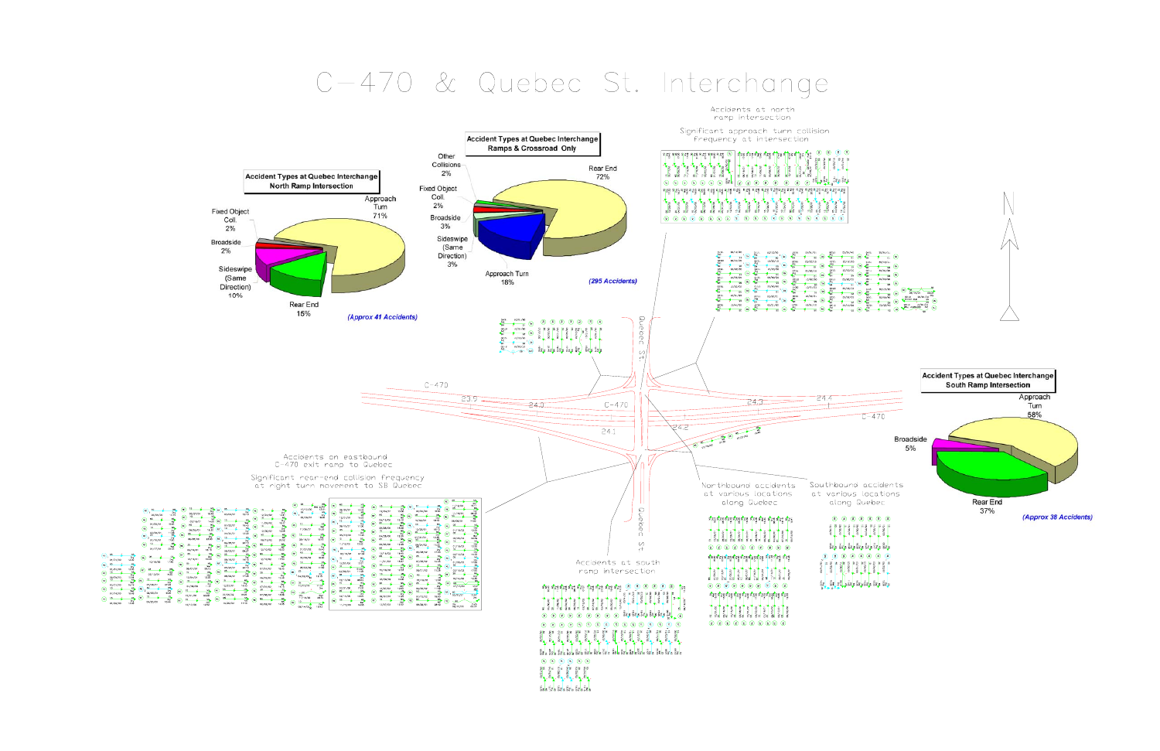## C-470 & Quebec St. Interchange